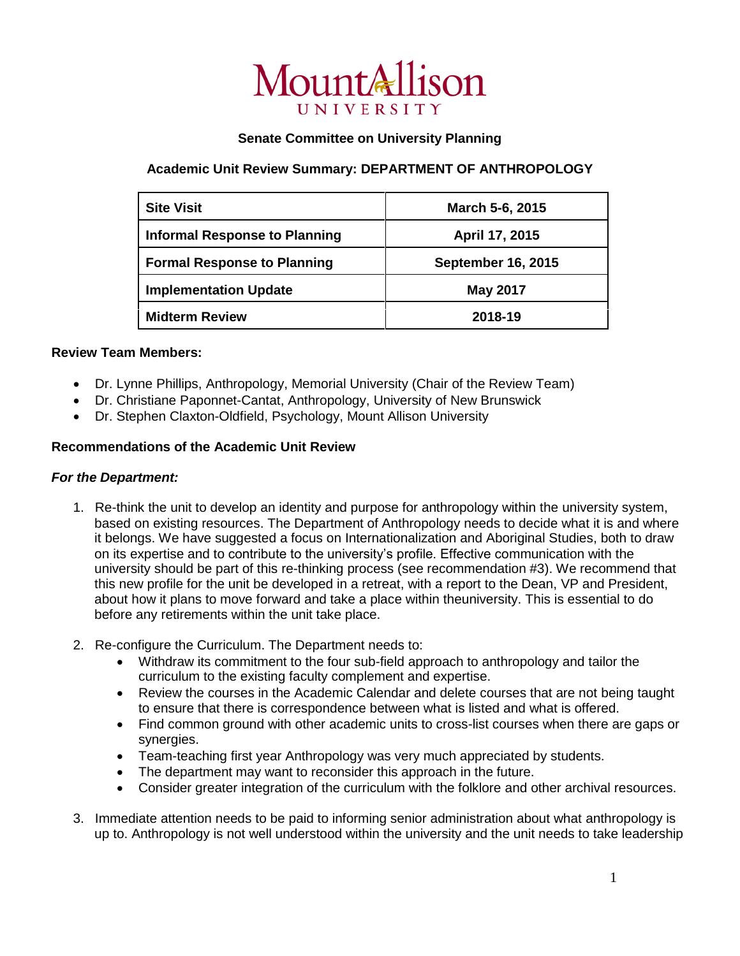

## **Senate Committee on University Planning**

# **Academic Unit Review Summary: DEPARTMENT OF ANTHROPOLOGY**

| <b>Site Visit</b>                    | March 5-6, 2015           |
|--------------------------------------|---------------------------|
| <b>Informal Response to Planning</b> | April 17, 2015            |
| <b>Formal Response to Planning</b>   | <b>September 16, 2015</b> |
| <b>Implementation Update</b>         | <b>May 2017</b>           |
| <b>Midterm Review</b>                | 2018-19                   |

## **Review Team Members:**

- Dr. Lynne Phillips, Anthropology, Memorial University (Chair of the Review Team)
- Dr. Christiane Paponnet-Cantat, Anthropology, University of New Brunswick
- Dr. Stephen Claxton-Oldfield, Psychology, Mount Allison University

### **Recommendations of the Academic Unit Review**

#### *For the Department:*

- 1. Re-think the unit to develop an identity and purpose for anthropology within the university system, based on existing resources. The Department of Anthropology needs to decide what it is and where it belongs. We have suggested a focus on Internationalization and Aboriginal Studies, both to draw on its expertise and to contribute to the university's profile. Effective communication with the university should be part of this re-thinking process (see recommendation #3). We recommend that this new profile for the unit be developed in a retreat, with a report to the Dean, VP and President, about how it plans to move forward and take a place within theuniversity. This is essential to do before any retirements within the unit take place.
- 2. Re-configure the Curriculum. The Department needs to:
	- Withdraw its commitment to the four sub-field approach to anthropology and tailor the curriculum to the existing faculty complement and expertise.
	- Review the courses in the Academic Calendar and delete courses that are not being taught to ensure that there is correspondence between what is listed and what is offered.
	- Find common ground with other academic units to cross-list courses when there are gaps or synergies.
	- Team-teaching first year Anthropology was very much appreciated by students.
	- The department may want to reconsider this approach in the future.
	- Consider greater integration of the curriculum with the folklore and other archival resources.
- 3. Immediate attention needs to be paid to informing senior administration about what anthropology is up to. Anthropology is not well understood within the university and the unit needs to take leadership